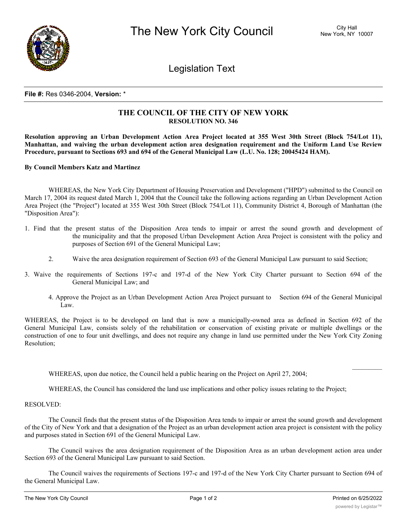

Legislation Text

## **File #:** Res 0346-2004, **Version:** \*

## **THE COUNCIL OF THE CITY OF NEW YORK RESOLUTION NO. 346**

Resolution approving an Urban Development Action Area Project located at 355 West 30th Street (Block 754/Lot 11), **Manhattan, and waiving the urban development action area designation requirement and the Uniform Land Use Review Procedure, pursuant to Sections 693 and 694 of the General Municipal Law (L.U. No. 128; 20045424 HAM).**

**By Council Members Katz and Martinez**

WHEREAS, the New York City Department of Housing Preservation and Development ("HPD") submitted to the Council on March 17, 2004 its request dated March 1, 2004 that the Council take the following actions regarding an Urban Development Action Area Project (the "Project") located at 355 West 30th Street (Block 754/Lot 11), Community District 4, Borough of Manhattan (the "Disposition Area"):

- 1. Find that the present status of the Disposition Area tends to impair or arrest the sound growth and development of the municipality and that the proposed Urban Development Action Area Project is consistent with the policy and purposes of Section 691 of the General Municipal Law;
	- 2. Waive the area designation requirement of Section 693 of the General Municipal Law pursuant to said Section;
- 3. Waive the requirements of Sections 197-c and 197-d of the New York City Charter pursuant to Section 694 of the General Municipal Law; and
	- 4. Approve the Project as an Urban Development Action Area Project pursuant to Section 694 of the General Municipal Law.

WHEREAS, the Project is to be developed on land that is now a municipally-owned area as defined in Section 692 of the General Municipal Law, consists solely of the rehabilitation or conservation of existing private or multiple dwellings or the construction of one to four unit dwellings, and does not require any change in land use permitted under the New York City Zoning Resolution;

WHEREAS, upon due notice, the Council held a public hearing on the Project on April 27, 2004;

WHEREAS, the Council has considered the land use implications and other policy issues relating to the Project;

## RESOLVED:

The Council finds that the present status of the Disposition Area tends to impair or arrest the sound growth and development of the City of New York and that a designation of the Project as an urban development action area project is consistent with the policy and purposes stated in Section 691 of the General Municipal Law.

The Council waives the area designation requirement of the Disposition Area as an urban development action area under Section 693 of the General Municipal Law pursuant to said Section.

The Council waives the requirements of Sections 197-c and 197-d of the New York City Charter pursuant to Section 694 of the General Municipal Law.

 $\mathcal{L}=\mathcal{L}$